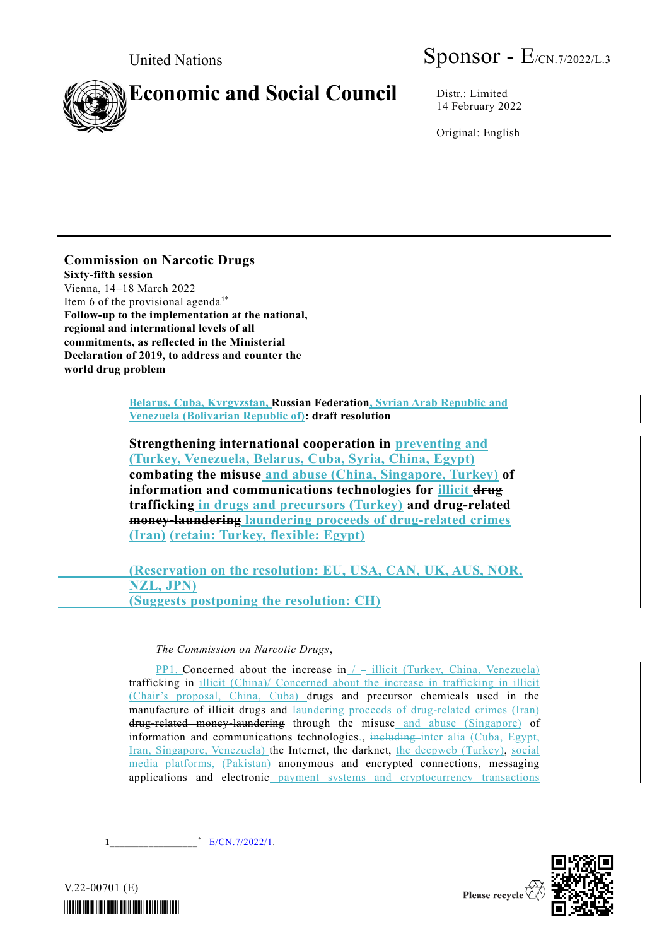

14 February 2022

Original: English

# **Commission on Narcotic Drugs**

**Sixty-fifth session** Vienna, 14–18 March 2022 Item 6 of the provisional agenda<sup>1\*</sup> **Follow-up to the implementation at the national, regional and international levels of all commitments, as reflected in the Ministerial Declaration of 2019, to address and counter the world drug problem**

> **Belarus, Cuba, Kyrgyzstan, Russian Federation, Syrian Arab Republic and Venezuela (Bolivarian Republic of): draft resolution**

**Strengthening international cooperation in preventing and (Turkey, Venezuela, Belarus, Cuba, Syria, China, Egypt) combating the misuse and abuse (China, Singapore, Turkey) of information and communications technologies for illicit drug trafficking in drugs and precursors (Turkey) and drug-related money-laundering laundering proceeds of drug-related crimes (Iran) (retain: Turkey, flexible: Egypt)** 

**(Reservation on the resolution: EU, USA, CAN, UK, AUS, NOR, NZL, JPN) (Suggests postponing the resolution: CH)**

*The Commission on Narcotic Drugs*,

**PP1.** Concerned about the increase in  $/$  - illicit (Turkey, China, Venezuela) trafficking in illicit (China)/ Concerned about the increase in trafficking in illicit (Chair's proposal, China, Cuba) drugs and precursor chemicals used in the manufacture of illicit drugs and laundering proceeds of drug-related crimes (Iran) drug-related money-laundering through the misuse and abuse (Singapore) of information and communications technologies., including inter alia (Cuba, Egypt, Iran, Singapore, Venezuela) the Internet, the darknet, the deepweb (Turkey), social media platforms, (Pakistan) anonymous and encrypted connections, messaging applications and electronic payment systems and cryptocurrency transactions

 $1$ \* [E/CN.7/2022/1.](http://undocs.org/E/CN.7/2022/1)



*\*2200701\**

V.22-00701 (E)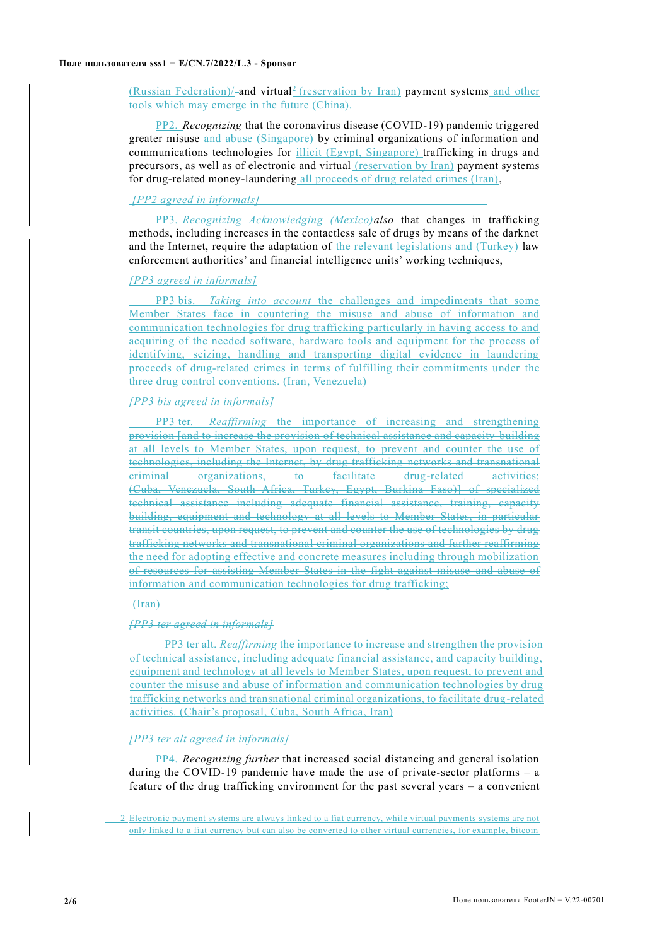(Russian Federation)/-and virtual<sup>2</sup> (reservation by Iran) payment systems and other tools which may emerge in the future (China).

PP2. *Recognizing* that the coronavirus disease (COVID-19) pandemic triggered greater misuse and abuse (Singapore) by criminal organizations of information and communications technologies for illicit (Egypt, Singapore) trafficking in drugs and precursors, as well as of electronic and virtual (reservation by Iran) payment systems for drug-related money-laundering all proceeds of drug related crimes (Iran),

#### *[PP2 agreed in informals]*

PP3. *Recognizing Acknowledging (Mexico)also* that changes in trafficking methods, including increases in the contactless sale of drugs by means of the darknet and the Internet, require the adaptation of the relevant legislations and (Turkey) law enforcement authorities' and financial intelligence units' working techniques,

#### *[PP3 agreed in informals]*

PP3 bis. *Taking into account* the challenges and impediments that some Member States face in countering the misuse and abuse of information and communication technologies for drug trafficking particularly in having access to and acquiring of the needed software, hardware tools and equipment for the process of identifying, seizing, handling and transporting digital evidence in laundering proceeds of drug-related crimes in terms of fulfilling their commitments under the three drug control conventions. (Iran, Venezuela)

# *[PP3 bis agreed in informals]*

PP3 ter. *Reaffirming* the importance of increasing and strengthening provision [and to increase the provision of technical assistance and capacity-building at all levels to Member States, upon request, to prevent and counter the use of technologies, including the Internet, by drug trafficking networks and transnational criminal organizations, to facilitate drug-related activities; (Cuba, Venezuela, South Africa, Turkey, Egypt, Burkina Faso)] of specialized technical assistance including adequate financial assistance, training, capacity building, equipment and technology at all levels to Member States, in particular transit countries, upon request, to prevent and counter the use of technologies by drug trafficking networks and transnational criminal organizations and further reaffirming the need for adopting effective and concrete measures including through mobilization of resources for assisting Member States in the fight against misuse and abuse of information and communication technologies for drug trafficking;

### (Iran)

#### *[PP3 ter agreed in informals]*

PP3 ter alt. *Reaffirming* the importance to increase and strengthen the provision of technical assistance, including adequate financial assistance, and capacity building, equipment and technology at all levels to Member States, upon request, to prevent and counter the misuse and abuse of information and communication technologies by drug trafficking networks and transnational criminal organizations, to facilitate drug-related activities. (Chair's proposal, Cuba, South Africa, Iran)

### *[PP3 ter alt agreed in informals]*

PP4. *Recognizing further* that increased social distancing and general isolation during the COVID-19 pandemic have made the use of private-sector platforms – a feature of the drug trafficking environment for the past several years – a convenient

<sup>2</sup> Electronic payment systems are always linked to a fiat currency, while virtual payments systems are not only linked to a fiat currency but can also be converted to other virtual currencies, for example, bitcoin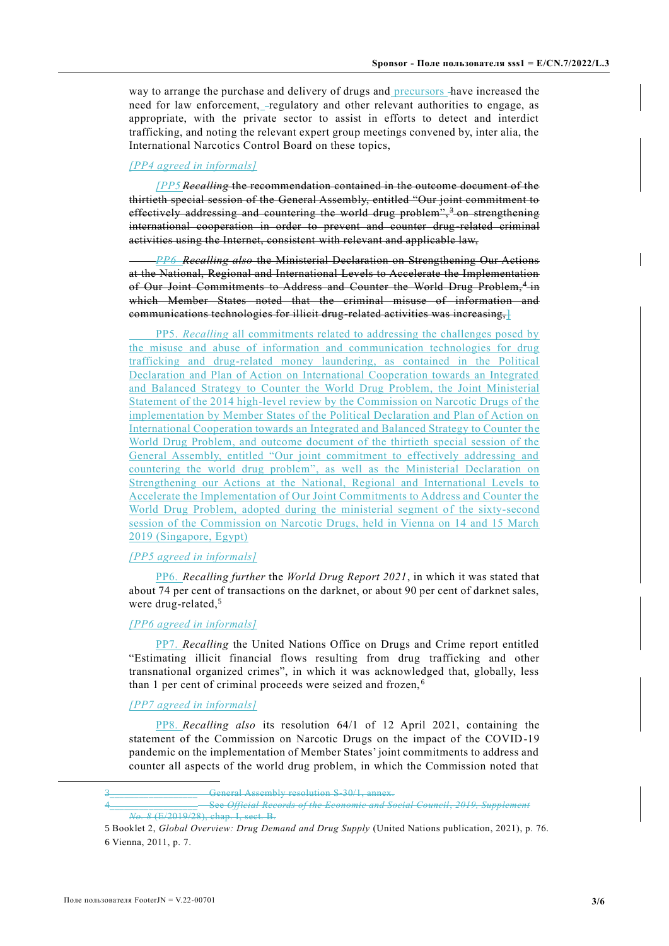way to arrange the purchase and delivery of drugs and precursors have increased the need for law enforcement, -regulatory and other relevant authorities to engage, as appropriate, with the private sector to assist in efforts to detect and interdict trafficking, and noting the relevant expert group meetings convened by, inter alia, the International Narcotics Control Board on these topics,

### *[PP4 agreed in informals]*

*[PP5 Recalling* the recommendation contained in the outcome document of the thirtieth special session of the General Assembly, entitled "Our joint commitment to effectively addressing and countering the world drug problem",<sup>3</sup> on strengthening international cooperation in order to prevent and counter drug-related criminal activities using the Internet, consistent with relevant and applicable law,

*PP6 Recalling also* the Ministerial Declaration on Strengthening Our Actions at the National, Regional and International Levels to Accelerate the Implementation of Our Joint Commitments to Address and Counter the World Drug Problem,<sup>4</sup> in which Member States noted that the criminal misuse of information and communications technologies for illicit drug-related activities was increasing, ]

PP5. *Recalling* all commitments related to addressing the challenges posed by the misuse and abuse of information and communication technologies for drug trafficking and drug-related money laundering, as contained in the Political Declaration and Plan of Action on International Cooperation towards an Integrated and Balanced Strategy to Counter the World Drug Problem, the Joint Ministerial Statement of the 2014 high-level review by the Commission on Narcotic Drugs of the implementation by Member States of the Political Declaration and Plan of Action on International Cooperation towards an Integrated and Balanced Strategy to Counter the World Drug Problem, and outcome document of the thirtieth special session of the General Assembly, entitled "Our joint commitment to effectively addressing and countering the world drug problem", as well as the Ministerial Declaration on Strengthening our Actions at the National, Regional and International Levels to Accelerate the Implementation of Our Joint Commitments to Address and Counter the World Drug Problem, adopted during the ministerial segment of the sixty-second session of the Commission on Narcotic Drugs, held in Vienna on 14 and 15 March 2019 (Singapore, Egypt)

#### *[PP5 agreed in informals]*

PP6. *Recalling further* the *World Drug Report 2021*, in which it was stated that about 74 per cent of transactions on the darknet, or about 90 per cent of darknet sales, were drug-related,<sup>5</sup>

### *[PP6 agreed in informals]*

PP7. *Recalling* the United Nations Office on Drugs and Crime report entitled "Estimating illicit financial flows resulting from drug trafficking and other transnational organized crimes", in which it was acknowledged that, globally, less than 1 per cent of criminal proceeds were seized and frozen, <sup>6</sup>

# *[PP7 agreed in informals]*

PP8. *Recalling also* its resolution 64/1 of 12 April 2021, containing the statement of the Commission on Narcotic Drugs on the impact of the COVID-19 pandemic on the implementation of Member States' joint commitments to address and counter all aspects of the world drug problem, in which the Commission noted that

General Assembly resolution S-30/1, annex.

<sup>4</sup>\_\_\_\_\_\_\_\_\_\_\_\_\_\_\_\_\_\_ See *Official Records of the Economic and Social Council*, *2019, Supplement No. 8* (E/2019/28), chap. I, sect. B.

<sup>5</sup> Booklet 2, *Global Overview: Drug Demand and Drug Supply* (United Nations publication, 2021), p. 76. 6 Vienna, 2011, p. 7.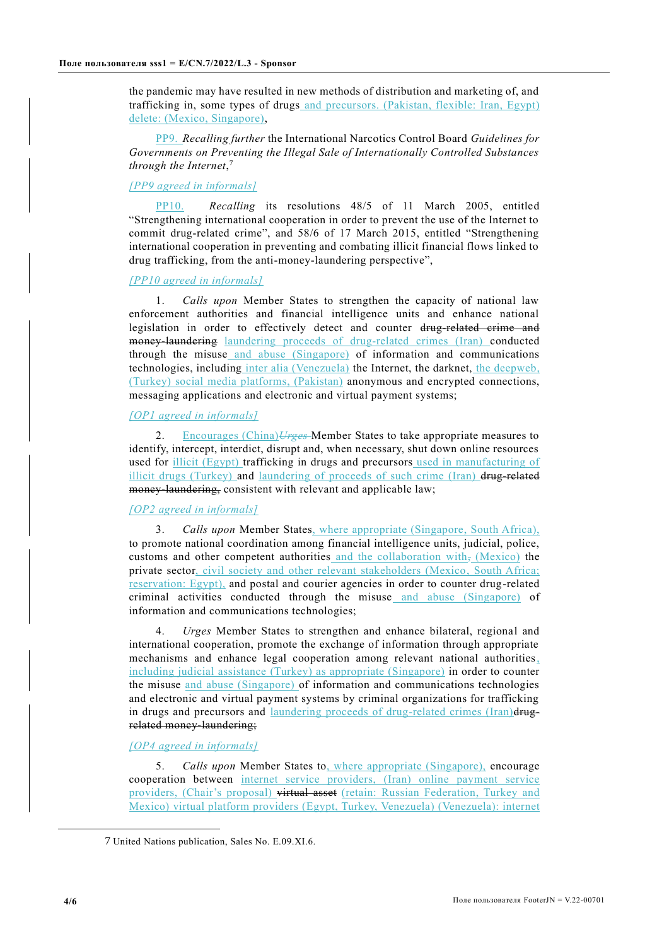the pandemic may have resulted in new methods of distribution and marketing of, and trafficking in, some types of drugs and precursors. (Pakistan, flexible: Iran, Egypt) delete: (Mexico, Singapore),

PP9. *Recalling further* the International Narcotics Control Board *Guidelines for Governments on Preventing the Illegal Sale of Internationally Controlled Substances through the Internet*, 7

### *[PP9 agreed in informals]*

PP10. *Recalling* its resolutions 48/5 of 11 March 2005, entitled "Strengthening international cooperation in order to prevent the use of the Internet to commit drug-related crime", and 58/6 of 17 March 2015, entitled "Strengthening international cooperation in preventing and combating illicit financial flows linked to drug trafficking, from the anti-money-laundering perspective",

### *[PP10 agreed in informals]*

1. *Calls upon* Member States to strengthen the capacity of national law enforcement authorities and financial intelligence units and enhance national legislation in order to effectively detect and counter drug-related crime and money laundering laundering proceeds of drug-related crimes (Iran) conducted through the misuse and abuse (Singapore) of information and communications technologies, including inter alia (Venezuela) the Internet, the darknet, the deepweb, (Turkey) social media platforms, (Pakistan) anonymous and encrypted connections, messaging applications and electronic and virtual payment systems;

# *[OP1 agreed in informals]*

2. Encourages (China)*Urges* Member States to take appropriate measures to identify, intercept, interdict, disrupt and, when necessary, shut down online resources used for illicit (Egypt) trafficking in drugs and precursors used in manufacturing of illicit drugs (Turkey) and laundering of proceeds of such crime (Iran)  $\frac{d}{dx}$  related money-laundering, consistent with relevant and applicable law;

# *[OP2 agreed in informals]*

3. *Calls upon* Member States, where appropriate (Singapore, South Africa), to promote national coordination among financial intelligence units, judicial, police, customs and other competent authorities and the collaboration with,  $(Mexico)$  the private sector, civil society and other relevant stakeholders (Mexico, South Africa; reservation: Egypt), and postal and courier agencies in order to counter drug-related criminal activities conducted through the misuse and abuse (Singapore) of information and communications technologies;

4. *Urges* Member States to strengthen and enhance bilateral, regional and international cooperation, promote the exchange of information through appropriate mechanisms and enhance legal cooperation among relevant national authorities, including judicial assistance (Turkey) as appropriate (Singapore) in order to counter the misuse and abuse (Singapore) of information and communications technologies and electronic and virtual payment systems by criminal organizations for trafficking in drugs and precursors and laundering proceeds of drug-related crimes (Iran)drugrelated money laundering;

# *[OP4 agreed in informals]*

5. *Calls upon* Member States to, where appropriate (Singapore), encourage cooperation between internet service providers, (Iran) online payment service providers, (Chair's proposal) virtual asset (retain: Russian Federation, Turkey and Mexico) virtual platform providers (Egypt, Turkey, Venezuela) (Venezuela): internet

<sup>7</sup> United Nations publication, Sales No. E.09.XI.6.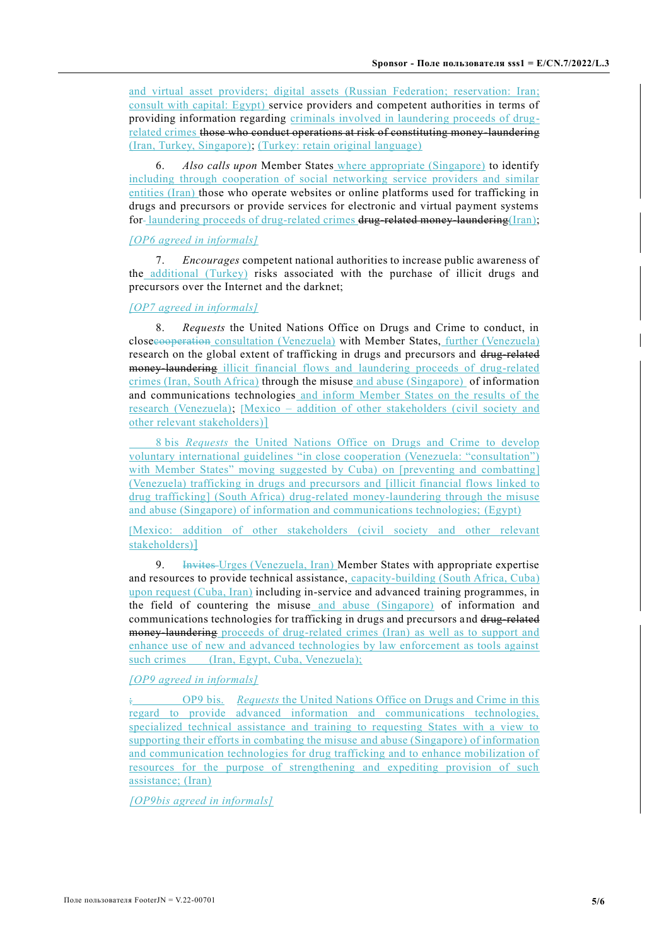and virtual asset providers; digital assets (Russian Federation; reservation: Iran; consult with capital: Egypt) service providers and competent authorities in terms of providing information regarding criminals involved in laundering proceeds of drugrelated crimes those who conduct operations at risk of constituting money-laundering (Iran, Turkey, Singapore); (Turkey: retain original language)

6. *Also calls upon* Member States where appropriate (Singapore) to identify including through cooperation of social networking service providers and similar entities (Iran) those who operate websites or online platforms used for trafficking in drugs and precursors or provide services for electronic and virtual payment systems for-laundering proceeds of drug-related crimes drug-related money-laundering(Iran);

# *[OP6 agreed in informals]*

7. *Encourages* competent national authorities to increase public awareness of the additional (Turkey) risks associated with the purchase of illicit drugs and precursors over the Internet and the darknet;

#### *[OP7 agreed in informals]*

8. *Requests* the United Nations Office on Drugs and Crime to conduct, in closecooperation consultation (Venezuela) with Member States, further (Venezuela) research on the global extent of trafficking in drugs and precursors and drug-related money laundering illicit financial flows and laundering proceeds of drug-related crimes (Iran, South Africa) through the misuse and abuse (Singapore) of information and communications technologies and inform Member States on the results of the research (Venezuela); [Mexico – addition of other stakeholders (civil society and other relevant stakeholders)]

8 bis *Requests* the United Nations Office on Drugs and Crime to develop voluntary international guidelines "in close cooperation (Venezuela: "consultation") with Member States" moving suggested by Cuba) on [preventing and combatting] (Venezuela) trafficking in drugs and precursors and [illicit financial flows linked to drug trafficking] (South Africa) drug-related money-laundering through the misuse and abuse (Singapore) of information and communications technologies; (Egypt)

[Mexico: addition of other stakeholders (civil society and other relevant stakeholders)]

9. Invites Urges (Venezuela, Iran) Member States with appropriate expertise and resources to provide technical assistance, capacity-building (South Africa, Cuba) upon request (Cuba, Iran) including in-service and advanced training programmes, in the field of countering the misuse and abuse (Singapore) of information and communications technologies for trafficking in drugs and precursors and drug-related money laundering proceeds of drug-related crimes (Iran) as well as to support and enhance use of new and advanced technologies by law enforcement as tools against such crimes (Iran, Egypt, Cuba, Venezuela);

#### *[OP9 agreed in informals]*

; OP9 bis. *Requests* the United Nations Office on Drugs and Crime in this regard to provide advanced information and communications technologies, specialized technical assistance and training to requesting States with a view to supporting their efforts in combating the misuse and abuse (Singapore) of information and communication technologies for drug trafficking and to enhance mobilization of resources for the purpose of strengthening and expediting provision of such assistance; (Iran)

*[OP9bis agreed in informals]*